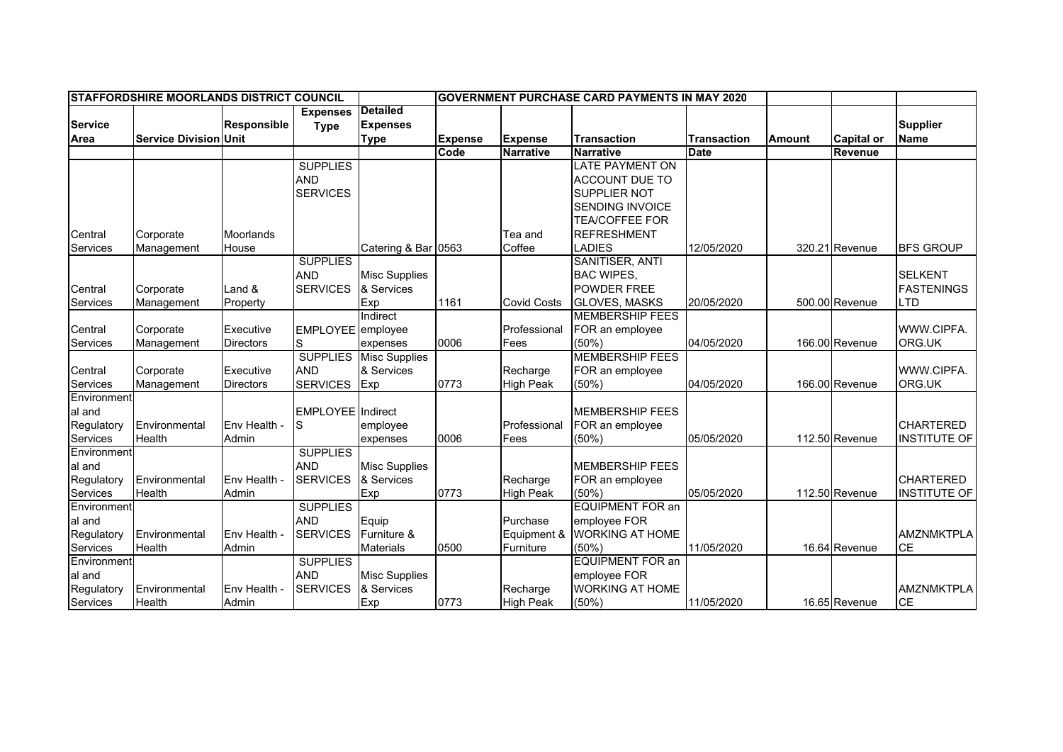| <b>STAFFORDSHIRE MOORLANDS DISTRICT COUNCIL</b> |                              |                    |                          |                      | <b>IGOVERNMENT PURCHASE CARD PAYMENTS IN MAY 2020</b> |                    |                         |                    |               |                   |                     |
|-------------------------------------------------|------------------------------|--------------------|--------------------------|----------------------|-------------------------------------------------------|--------------------|-------------------------|--------------------|---------------|-------------------|---------------------|
|                                                 |                              |                    | <b>Expenses</b>          | <b>Detailed</b>      |                                                       |                    |                         |                    |               |                   |                     |
| <b>Service</b>                                  |                              | <b>Responsible</b> | <b>Type</b>              | <b>Expenses</b>      |                                                       |                    |                         |                    |               |                   | <b>Supplier</b>     |
| Area                                            | <b>Service Division Unit</b> |                    |                          | <b>Type</b>          | <b>Expense</b>                                        | <b>Expense</b>     | <b>Transaction</b>      | <b>Transaction</b> | <b>Amount</b> | <b>Capital or</b> | <b>Name</b>         |
|                                                 |                              |                    |                          |                      | Code                                                  | <b>Narrative</b>   | <b>Narrative</b>        | <b>Date</b>        |               | Revenue           |                     |
|                                                 |                              |                    | <b>SUPPLIES</b>          |                      |                                                       |                    | <b>LATE PAYMENT ON</b>  |                    |               |                   |                     |
|                                                 |                              |                    | <b>AND</b>               |                      |                                                       |                    | <b>ACCOUNT DUE TO</b>   |                    |               |                   |                     |
|                                                 |                              |                    | <b>SERVICES</b>          |                      |                                                       |                    | SUPPLIER NOT            |                    |               |                   |                     |
|                                                 |                              |                    |                          |                      |                                                       |                    | <b>SENDING INVOICE</b>  |                    |               |                   |                     |
|                                                 |                              |                    |                          |                      |                                                       |                    | <b>TEA/COFFEE FOR</b>   |                    |               |                   |                     |
| Central                                         | Corporate                    | Moorlands          |                          |                      |                                                       | Tea and            | <b>REFRESHMENT</b>      |                    |               |                   |                     |
| Services                                        | Management                   | House              |                          | Catering & Bar 0563  |                                                       | Coffee             | <b>LADIES</b>           | 12/05/2020         |               | 320.21 Revenue    | <b>BFS GROUP</b>    |
|                                                 |                              |                    | <b>SUPPLIES</b>          |                      |                                                       |                    | SANITISER, ANTI         |                    |               |                   |                     |
|                                                 |                              |                    | <b>AND</b>               | <b>Misc Supplies</b> |                                                       |                    | <b>BAC WIPES,</b>       |                    |               |                   | <b>SELKENT</b>      |
| Central                                         | Corporate                    | Land &             | <b>SERVICES</b>          | & Services           |                                                       |                    | <b>POWDER FREE</b>      |                    |               |                   | <b>FASTENINGS</b>   |
| Services                                        | Management                   | Property           |                          | Exp                  | 1161                                                  | <b>Covid Costs</b> | <b>GLOVES, MASKS</b>    | 20/05/2020         |               | 500.00 Revenue    | <b>LTD</b>          |
|                                                 |                              |                    |                          | Indirect             |                                                       |                    | <b>MEMBERSHIP FEES</b>  |                    |               |                   |                     |
| Central                                         | Corporate                    | Executive          | EMPLOYEE employee        |                      |                                                       | Professional       | FOR an employee         |                    |               |                   | WWW.CIPFA.          |
| Services                                        | Management                   | <b>Directors</b>   | S                        | expenses             | 0006                                                  | Fees               | (50%                    | 04/05/2020         |               | 166.00 Revenue    | ORG.UK              |
|                                                 |                              |                    | <b>SUPPLIES</b>          | <b>Misc Supplies</b> |                                                       |                    | <b>MEMBERSHIP FEES</b>  |                    |               |                   |                     |
| Central                                         | Corporate                    | Executive          | <b>AND</b>               | & Services           |                                                       | Recharge           | FOR an employee         |                    |               |                   | WWW.CIPFA.          |
| Services                                        | Management                   | <b>Directors</b>   | <b>SERVICES</b>          | Exp                  | 0773                                                  | <b>High Peak</b>   | (50%)                   | 04/05/2020         |               | 166.00 Revenue    | ORG.UK              |
| Environment                                     |                              |                    |                          |                      |                                                       |                    |                         |                    |               |                   |                     |
| al and                                          |                              |                    | <b>EMPLOYEE</b> Indirect |                      |                                                       |                    | <b>MEMBERSHIP FEES</b>  |                    |               |                   |                     |
| Regulatory                                      | Environmental                | Env Health -       | S                        | employee             |                                                       | Professional       | FOR an employee         |                    |               |                   | <b>CHARTERED</b>    |
| Services                                        | Health                       | Admin              |                          | expenses             | 0006                                                  | Fees               | $(50\%)$                | 05/05/2020         |               | 112.50 Revenue    | <b>INSTITUTE OF</b> |
| Environment                                     |                              |                    | <b>SUPPLIES</b>          |                      |                                                       |                    |                         |                    |               |                   |                     |
| al and                                          |                              |                    | <b>AND</b>               | <b>Misc Supplies</b> |                                                       |                    | <b>MEMBERSHIP FEES</b>  |                    |               |                   |                     |
| Regulatory                                      | Environmental                | Env Health -       | <b>SERVICES</b>          | & Services           |                                                       | Recharge           | FOR an employee         |                    |               |                   | <b>CHARTERED</b>    |
| Services                                        | Health                       | Admin              |                          | Exp                  | 0773                                                  | <b>High Peak</b>   | (50%)                   | 05/05/2020         |               | 112.50 Revenue    | <b>INSTITUTE OF</b> |
| Environment                                     |                              |                    | <b>SUPPLIES</b>          |                      |                                                       |                    | <b>EQUIPMENT FOR an</b> |                    |               |                   |                     |
| al and                                          |                              |                    | <b>AND</b>               | Equip                |                                                       | Purchase           | employee FOR            |                    |               |                   |                     |
| Regulatory                                      | Environmental                | Env Health -       | <b>SERVICES</b>          | Furniture &          |                                                       | Equipment &        | <b>WORKING AT HOME</b>  |                    |               |                   | <b>AMZNMKTPLA</b>   |
| Services                                        | Health                       | Admin              |                          | <b>Materials</b>     | 0500                                                  | Furniture          | (50%)                   | 11/05/2020         |               | 16.64 Revenue     | <b>CE</b>           |
| Environment                                     |                              |                    | <b>SUPPLIES</b>          |                      |                                                       |                    | <b>EQUIPMENT FOR an</b> |                    |               |                   |                     |
| al and                                          |                              |                    | <b>AND</b>               | <b>Misc Supplies</b> |                                                       |                    | employee FOR            |                    |               |                   |                     |
| Regulatory                                      | Environmental                | Env Health -       | <b>SERVICES</b>          | & Services           |                                                       | Recharge           | <b>WORKING AT HOME</b>  |                    |               |                   | <b>AMZNMKTPLA</b>   |
| Services                                        | Health                       | Admin              |                          | Exp                  | 0773                                                  | <b>High Peak</b>   | (50%)                   | 11/05/2020         |               | 16.65 Revenue     | <b>CE</b>           |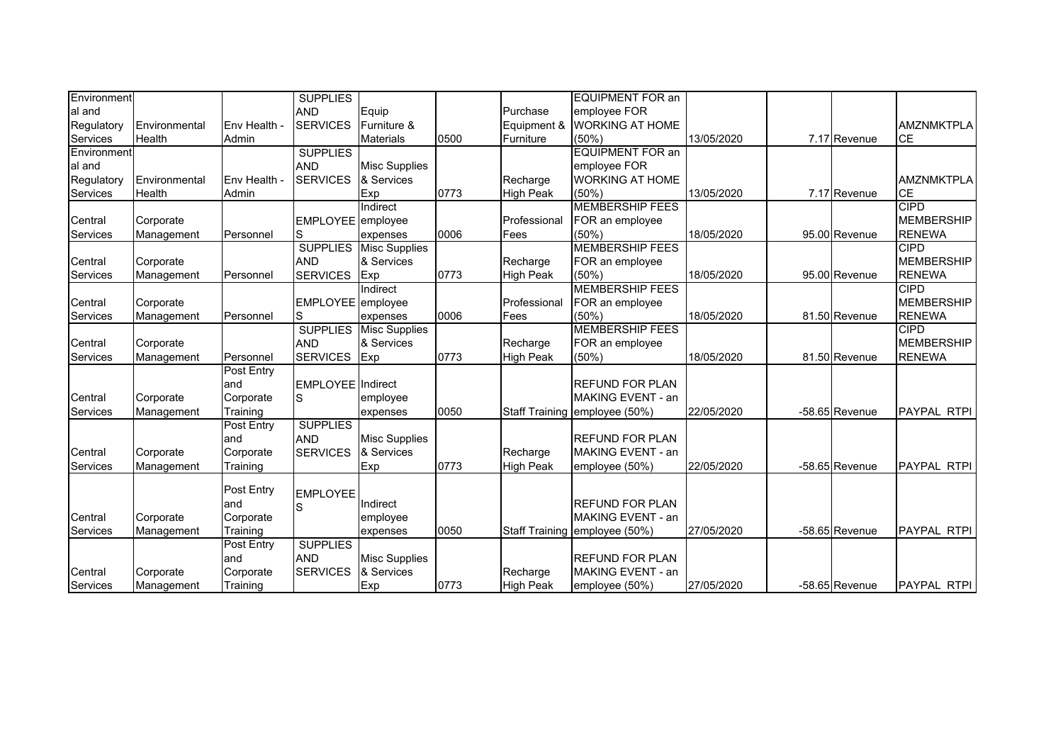| Environment     |               |              | <b>SUPPLIES</b>          |                      |      |                  | <b>EQUIPMENT FOR an</b>       |            |                |                    |
|-----------------|---------------|--------------|--------------------------|----------------------|------|------------------|-------------------------------|------------|----------------|--------------------|
| al and          |               |              | <b>AND</b>               | Equip                |      | Purchase         | employee FOR                  |            |                |                    |
| Regulatory      | Environmental | Env Health - | <b>SERVICES</b>          | Furniture &          |      | Equipment &      | <b>WORKING AT HOME</b>        |            |                | <b>AMZNMKTPLA</b>  |
| Services        | Health        | Admin        |                          | <b>Materials</b>     | 0500 | Furniture        | (50%                          | 13/05/2020 | 7.17 Revenue   | <b>CE</b>          |
| Environment     |               |              | <b>SUPPLIES</b>          |                      |      |                  | <b>EQUIPMENT FOR an</b>       |            |                |                    |
| al and          |               |              | <b>AND</b>               | <b>Misc Supplies</b> |      |                  | employee FOR                  |            |                |                    |
| Regulatory      | Environmental | Env Health - | <b>SERVICES</b>          | & Services           |      | Recharge         | <b>WORKING AT HOME</b>        |            |                | <b>AMZNMKTPLA</b>  |
| Services        | Health        | Admin        |                          | Exp                  | 0773 | <b>High Peak</b> | (50%)                         | 13/05/2020 | 7.17 Revenue   | <b>CE</b>          |
|                 |               |              |                          | Indirect             |      |                  | <b>MEMBERSHIP FEES</b>        |            |                | <b>CIPD</b>        |
| Central         | Corporate     |              | EMPLOYEE employee        |                      |      | Professional     | FOR an employee               |            |                | <b>MEMBERSHIP</b>  |
| <b>Services</b> | Management    | Personnel    | S                        | expenses             | 0006 | Fees             | (50%)                         | 18/05/2020 | 95.00 Revenue  | <b>RENEWA</b>      |
|                 |               |              | <b>SUPPLIES</b>          | <b>Misc Supplies</b> |      |                  | <b>MEMBERSHIP FEES</b>        |            |                | <b>CIPD</b>        |
| Central         | Corporate     |              | <b>AND</b>               | & Services           |      | Recharge         | FOR an employee               |            |                | <b>MEMBERSHIP</b>  |
| <b>Services</b> | Management    | Personnel    | <b>SERVICES</b>          | Exp                  | 0773 | <b>High Peak</b> | (50%                          | 18/05/2020 | 95.00 Revenue  | <b>RENEWA</b>      |
|                 |               |              |                          | Indirect             |      |                  | <b>MEMBERSHIP FEES</b>        |            |                | <b>CIPD</b>        |
| Central         | Corporate     |              | EMPLOYEE employee        |                      |      | Professional     | FOR an employee               |            |                | <b>MEMBERSHIP</b>  |
| Services        | Management    | Personnel    | S                        | expenses             | 0006 | Fees             | (50%)                         | 18/05/2020 | 81.50 Revenue  | <b>RENEWA</b>      |
|                 |               |              | <b>SUPPLIES</b>          | <b>Misc Supplies</b> |      |                  | <b>MEMBERSHIP FEES</b>        |            |                | <b>CIPD</b>        |
| Central         | Corporate     |              | <b>AND</b>               | & Services           |      | Recharge         | FOR an employee               |            |                | <b>MEMBERSHIP</b>  |
| <b>Services</b> | Management    | Personnel    | <b>SERVICES</b>          | Exp                  | 0773 | <b>High Peak</b> | (50%                          | 18/05/2020 | 81.50 Revenue  | <b>RENEWA</b>      |
|                 |               | Post Entry   |                          |                      |      |                  |                               |            |                |                    |
|                 |               | land         | <b>EMPLOYEE</b> Indirect |                      |      |                  | <b>REFUND FOR PLAN</b>        |            |                |                    |
| Central         | Corporate     | Corporate    | S                        | employee             |      |                  | MAKING EVENT - an             |            |                |                    |
| <b>Services</b> | Management    | Training     |                          | expenses             | 0050 |                  | Staff Training employee (50%) | 22/05/2020 | -58.65 Revenue | <b>PAYPAL RTPI</b> |
|                 |               | Post Entry   | <b>SUPPLIES</b>          |                      |      |                  |                               |            |                |                    |
|                 |               | land         | <b>AND</b>               | <b>Misc Supplies</b> |      |                  | <b>REFUND FOR PLAN</b>        |            |                |                    |
| Central         | Corporate     | Corporate    | <b>SERVICES</b>          | & Services           |      | Recharge         | MAKING EVENT - an             |            |                |                    |
| Services        | Management    | Training     |                          | Exp                  | 0773 | <b>High Peak</b> | employee (50%)                | 22/05/2020 | -58.65 Revenue | PAYPAL RTPI        |
|                 |               |              |                          |                      |      |                  |                               |            |                |                    |
|                 |               | Post Entry   | <b>EMPLOYEE</b>          |                      |      |                  |                               |            |                |                    |
|                 |               | land         | S                        | Indirect             |      |                  | <b>REFUND FOR PLAN</b>        |            |                |                    |
| Central         | Corporate     | Corporate    |                          | employee             |      |                  | MAKING EVENT - an             |            |                |                    |
| Services        | Management    | Training     |                          | expenses             | 0050 |                  | Staff Training employee (50%) | 27/05/2020 | -58.65 Revenue | <b>PAYPAL RTPI</b> |
|                 |               | Post Entry   | <b>SUPPLIES</b>          |                      |      |                  |                               |            |                |                    |
|                 |               | land         | <b>AND</b>               | <b>Misc Supplies</b> |      |                  | <b>IREFUND FOR PLAN</b>       |            |                |                    |
| Central         | Corporate     | Corporate    | <b>SERVICES</b>          | & Services           |      | Recharge         | MAKING EVENT - an             |            |                |                    |
| <b>Services</b> | Management    | Training     |                          | Exp                  | 0773 | <b>High Peak</b> | employee (50%)                | 27/05/2020 | -58.65 Revenue | <b>PAYPAL RTPI</b> |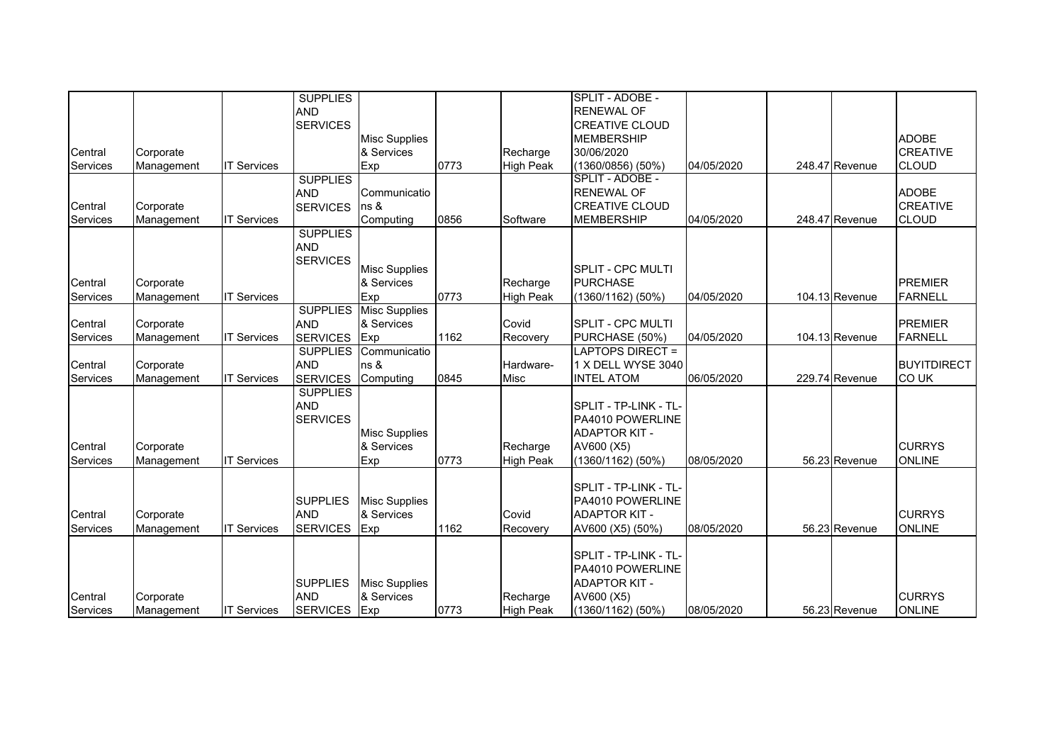|                 |            |                    | <b>SUPPLIES</b> |                      |      |                  | SPLIT - ADOBE -              |            |                |                    |
|-----------------|------------|--------------------|-----------------|----------------------|------|------------------|------------------------------|------------|----------------|--------------------|
|                 |            |                    |                 |                      |      |                  |                              |            |                |                    |
|                 |            |                    | <b>AND</b>      |                      |      |                  | <b>RENEWAL OF</b>            |            |                |                    |
|                 |            |                    | <b>SERVICES</b> |                      |      |                  | <b>CREATIVE CLOUD</b>        |            |                |                    |
|                 |            |                    |                 | <b>Misc Supplies</b> |      |                  | <b>MEMBERSHIP</b>            |            |                | <b>ADOBE</b>       |
| Central         | Corporate  |                    |                 | & Services           |      | Recharge         | 30/06/2020                   |            |                | <b>CREATIVE</b>    |
| Services        | Management | <b>IT Services</b> |                 | Exp                  | 0773 | <b>High Peak</b> | $(1360/0856)$ (50%)          | 04/05/2020 | 248.47 Revenue | <b>CLOUD</b>       |
|                 |            |                    | <b>SUPPLIES</b> |                      |      |                  | SPLIT - ADOBE -              |            |                |                    |
|                 |            |                    | <b>AND</b>      | Communicatio         |      |                  | <b>RENEWAL OF</b>            |            |                | <b>ADOBE</b>       |
| Central         | Corporate  |                    | <b>SERVICES</b> | ns &                 |      |                  | <b>CREATIVE CLOUD</b>        |            |                | <b>CREATIVE</b>    |
| Services        | Management | <b>IT Services</b> |                 | Computing            | 0856 | Software         | <b>MEMBERSHIP</b>            | 04/05/2020 | 248.47 Revenue | <b>CLOUD</b>       |
|                 |            |                    | <b>SUPPLIES</b> |                      |      |                  |                              |            |                |                    |
|                 |            |                    | <b>AND</b>      |                      |      |                  |                              |            |                |                    |
|                 |            |                    | <b>SERVICES</b> |                      |      |                  |                              |            |                |                    |
|                 |            |                    |                 | <b>Misc Supplies</b> |      |                  | <b>SPLIT - CPC MULTI</b>     |            |                |                    |
| Central         | Corporate  |                    |                 | & Services           |      | Recharge         | <b>PURCHASE</b>              |            |                | <b>PREMIER</b>     |
| Services        | Management | <b>IT Services</b> |                 | Exp                  | 0773 | <b>High Peak</b> | $(1360/1162)$ (50%)          | 04/05/2020 | 104.13 Revenue | <b>FARNELL</b>     |
|                 |            |                    | <b>SUPPLIES</b> | <b>Misc Supplies</b> |      |                  |                              |            |                |                    |
| Central         | Corporate  |                    | <b>AND</b>      | & Services           |      | Covid            | <b>SPLIT - CPC MULTI</b>     |            |                | <b>PREMIER</b>     |
| Services        | Management | <b>IT Services</b> | <b>SERVICES</b> | Exp                  | 1162 | Recovery         | PURCHASE (50%)               | 04/05/2020 | 104.13 Revenue | <b>FARNELL</b>     |
|                 |            |                    | <b>SUPPLIES</b> | Communicatio         |      |                  | <b>LAPTOPS DIRECT =</b>      |            |                |                    |
| Central         | Corporate  |                    | <b>AND</b>      | ns &                 |      | Hardware-        | 1 X DELL WYSE 3040           |            |                | <b>BUYITDIRECT</b> |
| <b>Services</b> | Management | <b>IT Services</b> | <b>SERVICES</b> | Computing            | 0845 | <b>Misc</b>      | <b>INTEL ATOM</b>            | 06/05/2020 | 229.74 Revenue | <b>COUK</b>        |
|                 |            |                    | <b>SUPPLIES</b> |                      |      |                  |                              |            |                |                    |
|                 |            |                    | <b>AND</b>      |                      |      |                  | SPLIT - TP-LINK - TL-        |            |                |                    |
|                 |            |                    | <b>SERVICES</b> |                      |      |                  | PA4010 POWERLINE             |            |                |                    |
|                 |            |                    |                 | <b>Misc Supplies</b> |      |                  | <b>ADAPTOR KIT -</b>         |            |                |                    |
| Central         | Corporate  |                    |                 | & Services           |      | Recharge         | AV600 (X5)                   |            |                | <b>CURRYS</b>      |
| Services        | Management | <b>IT Services</b> |                 | Exp                  | 0773 | <b>High Peak</b> | (1360/1162) (50%)            | 08/05/2020 | 56.23 Revenue  | <b>ONLINE</b>      |
|                 |            |                    |                 |                      |      |                  |                              |            |                |                    |
|                 |            |                    |                 |                      |      |                  | <b>SPLIT - TP-LINK - TL-</b> |            |                |                    |
|                 |            |                    | <b>SUPPLIES</b> | <b>Misc Supplies</b> |      |                  | PA4010 POWERLINE             |            |                |                    |
| Central         | Corporate  |                    | <b>AND</b>      | & Services           |      | Covid            | <b>ADAPTOR KIT -</b>         |            |                | <b>CURRYS</b>      |
|                 |            |                    |                 |                      |      |                  |                              |            |                |                    |
| Services        | Management | <b>IT Services</b> | <b>SERVICES</b> | Exp                  | 1162 | Recovery         | AV600 (X5) (50%)             | 08/05/2020 | 56.23 Revenue  | <b>ONLINE</b>      |
|                 |            |                    |                 |                      |      |                  |                              |            |                |                    |
|                 |            |                    |                 |                      |      |                  | SPLIT - TP-LINK - TL-        |            |                |                    |
|                 |            |                    |                 |                      |      |                  | PA4010 POWERLINE             |            |                |                    |
|                 |            |                    | <b>SUPPLIES</b> | <b>Misc Supplies</b> |      |                  | <b>ADAPTOR KIT -</b>         |            |                |                    |
| Central         | Corporate  |                    | <b>AND</b>      | & Services           |      | Recharge         | AV600 (X5)                   |            |                | <b>CURRYS</b>      |
| Services        | Management | <b>IT Services</b> | <b>SERVICES</b> | Exp                  | 0773 | <b>High Peak</b> | (1360/1162) (50%)            | 08/05/2020 | 56.23 Revenue  | <b>ONLINE</b>      |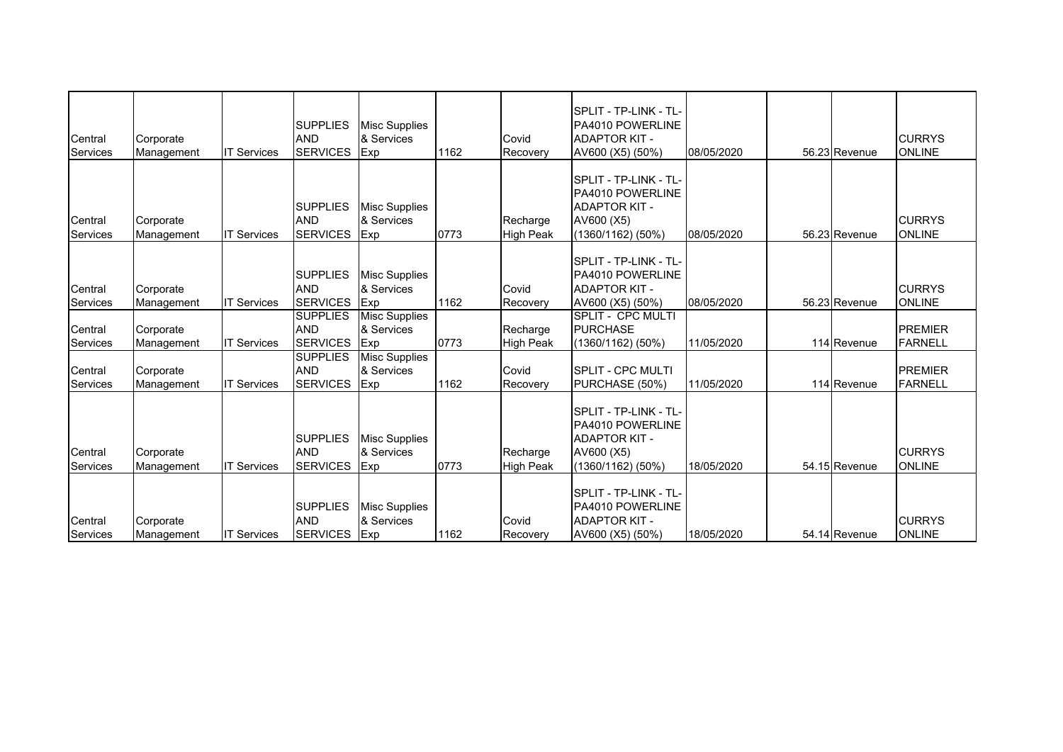| Central<br>Services        | Corporate<br>Management | <b>IT Services</b> | <b>SUPPLIES</b><br><b>AND</b><br><b>SERVICES</b> | <b>Misc Supplies</b><br>& Services<br>Exp | 1162 | Covid<br>Recovery            | SPLIT - TP-LINK - TL-<br>PA4010 POWERLINE<br><b>ADAPTOR KIT -</b><br>AV600 (X5) (50%)                  | 08/05/2020 | 56.23 Revenue | <b>CURRYS</b><br><b>ONLINE</b>   |
|----------------------------|-------------------------|--------------------|--------------------------------------------------|-------------------------------------------|------|------------------------------|--------------------------------------------------------------------------------------------------------|------------|---------------|----------------------------------|
| Central<br>Services        | Corporate<br>Management | <b>IT Services</b> | <b>SUPPLIES</b><br><b>AND</b><br><b>SERVICES</b> | <b>Misc Supplies</b><br>& Services<br>Exp | 0773 | Recharge<br><b>High Peak</b> | SPLIT - TP-LINK - TL-<br>PA4010 POWERLINE<br><b>ADAPTOR KIT -</b><br>AV600 (X5)<br>(1360/1162) (50%)   | 08/05/2020 | 56.23 Revenue | <b>CURRYS</b><br><b>ONLINE</b>   |
| Central<br>Services        | Corporate<br>Management | <b>IT Services</b> | <b>SUPPLIES</b><br><b>AND</b><br><b>SERVICES</b> | Misc Supplies<br>& Services<br>Exp        | 1162 | Covid<br>Recovery            | SPLIT - TP-LINK - TL-<br>PA4010 POWERLINE<br><b>ADAPTOR KIT -</b><br>AV600 (X5) (50%)                  | 08/05/2020 | 56.23 Revenue | <b>CURRYS</b><br><b>ONLINE</b>   |
| Central<br>Services        | Corporate<br>Management | <b>IT Services</b> | <b>SUPPLIES</b><br><b>AND</b><br><b>SERVICES</b> | <b>Misc Supplies</b><br>& Services<br>Exp | 0773 | Recharge<br><b>High Peak</b> | <b>SPLIT - CPC MULTI</b><br><b>PURCHASE</b><br>(1360/1162) (50%)                                       | 11/05/2020 | 114 Revenue   | <b>PREMIER</b><br><b>FARNELL</b> |
| Central<br>Services        | Corporate<br>Management | <b>IT Services</b> | <b>SUPPLIES</b><br><b>AND</b><br><b>SERVICES</b> | Misc Supplies<br>& Services<br>Exp        | 1162 | Covid<br>Recovery            | <b>SPLIT - CPC MULTI</b><br>PURCHASE (50%)                                                             | 11/05/2020 | 114 Revenue   | <b>PREMIER</b><br><b>FARNELL</b> |
| Central<br>Services        | Corporate<br>Management | <b>IT Services</b> | <b>SUPPLIES</b><br><b>AND</b><br><b>SERVICES</b> | <b>Misc Supplies</b><br>& Services<br>Exp | 0773 | Recharge<br><b>High Peak</b> | SPLIT - TP-LINK - TL-<br>PA4010 POWERLINE<br><b>ADAPTOR KIT -</b><br>AV600 (X5)<br>$(1360/1162)$ (50%) | 18/05/2020 | 54.15 Revenue | <b>CURRYS</b><br><b>ONLINE</b>   |
| Central<br><b>Services</b> | Corporate<br>Management | <b>IT Services</b> | <b>SUPPLIES</b><br><b>AND</b><br><b>SERVICES</b> | <b>Misc Supplies</b><br>& Services<br>Exp | 1162 | Covid<br>Recovery            | SPLIT - TP-LINK - TL-<br>PA4010 POWERLINE<br><b>ADAPTOR KIT -</b><br>AV600 (X5) (50%)                  | 18/05/2020 | 54.14 Revenue | <b>CURRYS</b><br><b>ONLINE</b>   |